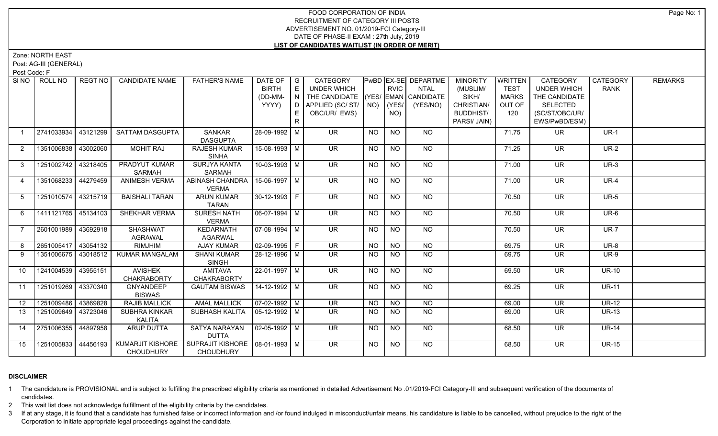Zone: NORTH EAST

Post: AG-III (GENERAL)

Post Code: F

| SI NO I         | ROLL NO             | REGT NO  | <b>CANDIDATE NAME</b>                       | <b>FATHER'S NAME</b>                                  | DATE OF   G<br><b>BIRTH</b><br>(DD-MM-<br>YYYY) | E<br>N<br>D<br>E.<br>$\mathsf{R}$ | CATEGORY<br><b>UNDER WHICH</b><br>THE CANDIDATE (YES/ EMAN CANDIDATE<br>APPLIED (SC/ST/<br>OBC/UR/ EWS) | $NO)$ (YES/     | <b>RVIC</b><br>NO) | <b>PwBD EX-SE DEPARTME</b><br><b>NTAL</b><br>(YES/NO) | <b>MINORITY</b><br>(MUSLIM/<br>SIKH/<br>CHRISTIAN/<br><b>BUDDHIST/</b><br>PARSI/ JAIN) | <b>WRITTEN</b><br><b>TEST</b><br><b>MARKS</b><br>OUT OF<br>120 | <b>CATEGORY</b><br><b>UNDER WHICH</b><br>THE CANDIDATE<br><b>SELECTED</b><br>(SC/ST/OBC/UR/<br>EWS/PwBD/ESM) | CATEGORY<br><b>RANK</b> | <b>REMARKS</b> |
|-----------------|---------------------|----------|---------------------------------------------|-------------------------------------------------------|-------------------------------------------------|-----------------------------------|---------------------------------------------------------------------------------------------------------|-----------------|--------------------|-------------------------------------------------------|----------------------------------------------------------------------------------------|----------------------------------------------------------------|--------------------------------------------------------------------------------------------------------------|-------------------------|----------------|
| $\overline{1}$  | 2741033934          | 43121299 | <b>SATTAM DASGUPTA</b>                      | SANKAR<br><b>DASGUPTA</b>                             | 28-09-1992 M                                    |                                   | <b>UR</b>                                                                                               | <b>NO</b>       | <b>NO</b>          | NO                                                    |                                                                                        | 71.75                                                          | UR.                                                                                                          | $UR-1$                  |                |
| $\overline{2}$  | 1351006838 43002060 |          | <b>MOHIT RAJ</b>                            | <b>RAJESH KUMAR</b><br><b>SINHA</b>                   | 15-08-1993 M                                    |                                   | <b>UR</b>                                                                                               | <b>NO</b>       | $\overline{NQ}$    | <b>NO</b>                                             |                                                                                        | 71.25                                                          | <b>UR</b>                                                                                                    | <b>UR-2</b>             |                |
| 3               | 1251002742          | 43218405 | PRADYUT KUMAR<br><b>SARMAH</b>              | SURJYA KANTA<br><b>SARMAH</b>                         | $10-03-1993$ M                                  |                                   | $\overline{\mathsf{UR}}$                                                                                | $\overline{NO}$ | N <sub>O</sub>     | $N$ <sup>O</sup>                                      |                                                                                        | 71.00                                                          | $\overline{\mathsf{UR}}$                                                                                     | $UR-3$                  |                |
| 4               | 1351068233          | 44279459 | <b>ANIMESH VERMA</b>                        | ABINASH CHANDRA<br><b>VERMA</b>                       | 15-06-1997 M                                    |                                   | $\overline{\mathsf{UR}}$                                                                                | <b>NO</b>       | <b>NO</b>          | NO                                                    |                                                                                        | 71.00                                                          | <b>UR</b>                                                                                                    | <b>UR-4</b>             |                |
| 5               | 1251010574 43215719 |          | <b>BAISHALI TARAN</b>                       | <b>ARUN KUMAR</b><br><b>TARAN</b>                     | $30-12-1993$ F                                  |                                   | $\overline{\mathsf{UR}}$                                                                                | <b>NO</b>       | <b>NO</b>          | $N$ O                                                 |                                                                                        | 70.50                                                          | <b>UR</b>                                                                                                    | $UR-5$                  |                |
| 6               | 1411121765 45134103 |          | SHEKHAR VERMA                               | <b>SURESH NATH</b><br><b>VERMA</b>                    | $06-07-1994$ M                                  |                                   | <b>UR</b>                                                                                               | <b>NO</b>       | NO                 | NO                                                    |                                                                                        | 70.50                                                          | <b>UR</b>                                                                                                    | UR-6                    |                |
| $\overline{7}$  | 2601001989 43692918 |          | <b>SHASHWAT</b><br><b>AGRAWAL</b>           | <b>KEDARNATH</b><br><b>AGARWAL</b>                    | $07-08-1994$ M                                  |                                   | <b>UR</b>                                                                                               | NO              | <b>NO</b>          | <b>NO</b>                                             |                                                                                        | 70.50                                                          | <b>UR</b>                                                                                                    | <b>UR-7</b>             |                |
| 8               | 2651005417 43054132 |          | <b>RIMJHIM</b>                              | <b>AJAY KUMAR</b>                                     | $02-09-1995$ F                                  |                                   | $\overline{\mathsf{UR}}$                                                                                | <b>NO</b>       | $\overline{N}$     | $\overline{NQ}$                                       |                                                                                        | 69.75                                                          | $\overline{\mathsf{UR}}$                                                                                     | $UR-8$                  |                |
| 9               | 1351006675 43018512 |          | <b>KUMAR MANGALAM</b>                       | <b>SHANI KUMAR</b><br><b>SINGH</b>                    | 28-12-1996 M                                    |                                   | UR.                                                                                                     | NO.             | <b>NO</b>          | NO                                                    |                                                                                        | 69.75                                                          | UR.                                                                                                          | <b>UR-9</b>             |                |
| 10 <sup>1</sup> | 1241004539 43955151 |          | <b>AVISHEK</b><br><b>CHAKRABORTY</b>        | <b>AMITAVA</b><br><b>CHAKRABORTY</b>                  | 22-01-1997 M                                    |                                   | $\overline{\mathsf{UR}}$                                                                                | $\overline{NO}$ | N <sub>O</sub>     | $N$ <sup>O</sup>                                      |                                                                                        | 69.50                                                          | <b>UR</b>                                                                                                    | $UR-10$                 |                |
| 11              | 1251019269 43370340 |          | <b>GNYANDEEP</b><br><b>BISWAS</b>           | <b>GAUTAM BISWAS</b>                                  | 14-12-1992 M                                    |                                   | <b>UR</b>                                                                                               | <b>NO</b>       | <b>NO</b>          | NO                                                    |                                                                                        | 69.25                                                          | <b>UR</b>                                                                                                    | <b>UR-11</b>            |                |
| 12              | 1251009486 43869828 |          | <b>RAJIB MALLICK</b>                        | <b>AMAL MALLICK</b>                                   | $\sqrt{07-02-1992}$ M                           |                                   | UR                                                                                                      | <b>NO</b>       | N <sub>O</sub>     | $N$ O                                                 |                                                                                        | 69.00                                                          | $\overline{\mathsf{UR}}$                                                                                     | <b>UR-12</b>            |                |
| 13              | 1251009649 43723046 |          | SUBHRA KINKAR<br>KALITA                     | SUBHASH KALITA                                        | $\vert$ 05-12-1992 M                            |                                   | UR.                                                                                                     | NO.             | NO.                | $N$ O                                                 |                                                                                        | 69.00                                                          | <b>UR</b>                                                                                                    | <b>UR-13</b>            |                |
| 14              | 2751006355 44897958 |          | ARUP DUTTA                                  | SATYA NARAYAN<br><b>DUTTA</b>                         | 02-05-1992 M                                    |                                   | <b>UR</b>                                                                                               | <b>NO</b>       | <b>NO</b>          | NO                                                    |                                                                                        | 68.50                                                          | <b>UR</b>                                                                                                    | <b>UR-14</b>            |                |
| 15              | 1251005833          | 44456193 | <b>KUMARJIT KISHORE</b><br><b>CHOUDHURY</b> | SUPRAJIT KISHORE   08-01-1993   M<br><b>CHOUDHURY</b> |                                                 |                                   | UR.                                                                                                     | NO.             | <b>NO</b>          | NO                                                    |                                                                                        | 68.50                                                          | UR.                                                                                                          | <b>UR-15</b>            |                |

#### **DISCLAIMER**

1 The candidature is PROVISIONAL and is subject to fulfilling the prescribed eligibility criteria as mentioned in detailed Advertisement No .01/2019-FCI Category-III and subsequent verification of the documents of candidates.

2 This wait list does not acknowledge fulfillment of the eligibility criteria by the candidates.

3 If at any stage, it is found that a candidate has furnished false or incorrect information and /or found indulged in misconduct/unfair means, his candidature is liable to be cancelled, without prejudice to the right of t Corporation to initiate appropriate legal proceedings against the candidate.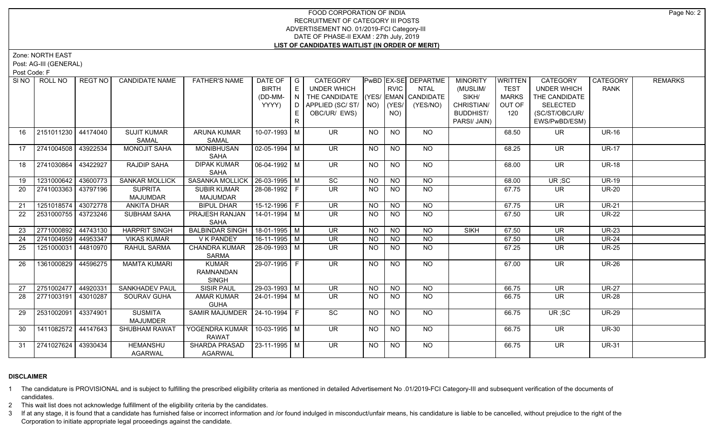Zone: NORTH EAST

Post: AG-III (GENERAL)

Post Code: F

| SI <sub>NO</sub> | ROLL NO             | REGT NO  | <b>CANDIDATE NAME</b>             | <b>FATHER'S NAME</b>                             | DATE OF $ G $<br><b>BIRTH</b><br>(DD-MM-<br>YYYY) | E<br>N<br>E.<br>R | CATEGORY<br>UNDER WHICH<br>THE CANDIDATE (YES/ EMAN CANDIDATE<br>D   APPLIED (SC/ ST/   NO)<br>OBC/UR/ EWS) |                | <b>RVIC</b><br>$ $ (YES/<br>NO) | PwBD EX-SE DEPARTME<br><b>NTAL</b><br>(YES/NO) | <b>MINORITY</b><br>(MUSLIM/<br>SIKH/<br>CHRISTIAN/<br><b>BUDDHIST/</b><br>PARSI/ JAIN) | WRITTEN<br><b>TEST</b><br><b>MARKS</b><br>OUT OF<br>120 | <b>CATEGORY</b><br><b>UNDER WHICH</b><br>THE CANDIDATE<br><b>SELECTED</b><br>(SC/ST/OBC/UR/<br>EWS/PwBD/ESM) | CATEGORY<br><b>RANK</b> | <b>REMARKS</b> |
|------------------|---------------------|----------|-----------------------------------|--------------------------------------------------|---------------------------------------------------|-------------------|-------------------------------------------------------------------------------------------------------------|----------------|---------------------------------|------------------------------------------------|----------------------------------------------------------------------------------------|---------------------------------------------------------|--------------------------------------------------------------------------------------------------------------|-------------------------|----------------|
| 16               | 2151011230 44174040 |          | <b>SUJIT KUMAR</b><br>SAMAL       | <b>ARUNA KUMAR</b><br>SAMAL                      | 10-07-1993   M                                    |                   | <b>UR</b>                                                                                                   | <b>NO</b>      | <b>NO</b>                       | NO                                             |                                                                                        | 68.50                                                   | <b>UR</b>                                                                                                    | <b>UR-16</b>            |                |
| 17               | 2741004508 43922534 |          | MONOJIT SAHA                      | MONIBHUSAN<br>SAHA                               | $\sqrt{02-05-1994}$ M                             |                   | $\overline{\mathsf{UR}}$                                                                                    | <b>NO</b>      | <b>NO</b>                       | <b>NO</b>                                      |                                                                                        | 68.25                                                   | <b>UR</b>                                                                                                    | <b>UR-17</b>            |                |
| 18               | 2741030864          | 43422927 | <b>RAJDIP SAHA</b>                | <b>DIPAK KUMAR</b><br>SAHA                       | 06-04-1992   M                                    |                   | $\overline{\mathsf{UR}}$                                                                                    | <b>NO</b>      | $\overline{NQ}$                 | $N$ <sup>O</sup>                               |                                                                                        | 68.00                                                   | $\overline{\mathsf{UR}}$                                                                                     | $UR-18$                 |                |
| 19               | 1231000642 43600773 |          | <b>SANKAR MOLLICK</b>             | SASANKA MOLLICK   26-03-1995   M                 |                                                   |                   | $\overline{SC}$                                                                                             | <b>NO</b>      | <b>NO</b>                       | <b>NO</b>                                      |                                                                                        | 68.00                                                   | UR;SC                                                                                                        | $UR-19$                 |                |
| 20               | 2741003363 43797196 |          | <b>SUPRITA</b><br><b>MAJUMDAR</b> | <b>SUBIR KUMAR</b><br><b>MAJUMDAR</b>            | 28-08-1992 F                                      |                   | <b>UR</b>                                                                                                   | <b>NO</b>      | NO.                             | <b>NO</b>                                      |                                                                                        | 67.75                                                   | UR                                                                                                           | <b>UR-20</b>            |                |
| 21               | 1251018574 43072778 |          | <b>ANKITA DHAR</b>                | <b>BIPUL DHAR</b>                                | $15-12-1996$ F                                    |                   | <b>UR</b>                                                                                                   | NO             | <b>NO</b>                       | $N$ O                                          |                                                                                        | 67.75                                                   | <b>UR</b>                                                                                                    | <b>UR-21</b>            |                |
| $\overline{22}$  | 2531000755 43723246 |          | <b>SUBHAM SAHA</b>                | PRAJESH RANJAN<br>SAHA                           | $14 - 01 - 1994$ M                                |                   | $\overline{\mathsf{UR}}$                                                                                    | <b>NO</b>      | NO.                             | $N$ <sup>O</sup>                               |                                                                                        | 67.50                                                   | $\overline{\mathsf{UR}}$                                                                                     | <b>UR-22</b>            |                |
| 23               | 2771000892 44743130 |          | <b>HARPRIT SINGH</b>              | <b>BALBINDAR SINGH</b>                           | $18-01-1995$ M                                    |                   | $\overline{\mathsf{UR}}$                                                                                    | N <sub>O</sub> | $N$ O                           | N <sub>O</sub>                                 | <b>SIKH</b>                                                                            | 67.50                                                   | <b>UR</b>                                                                                                    | <b>UR-23</b>            |                |
| 24               | 2741004959 44953347 |          | <b>VIKAS KUMAR</b>                | V K PANDEY                                       | $16-11-1995$ M                                    |                   | <b>UR</b>                                                                                                   | <b>NO</b>      | <b>NO</b>                       | <b>NO</b>                                      |                                                                                        | 67.50                                                   | <b>UR</b>                                                                                                    | <b>UR-24</b>            |                |
| 25               | 1251000031 44810970 |          | RAHUL SARMA                       | <b>CHANDRA KUMAR</b><br><b>SARMA</b>             | $28-09-1993$ M                                    |                   | $\overline{\mathsf{UR}}$                                                                                    | <b>NO</b>      | N <sub>O</sub>                  | $N$ <sup>O</sup>                               |                                                                                        | 67.25                                                   | $\overline{\mathsf{UR}}$                                                                                     | <b>UR-25</b>            |                |
| 26               | 1361000829 44596275 |          | <b>MAMTA KUMARI</b>               | <b>KUMAR</b><br><b>RAMNANDAN</b><br><b>SINGH</b> | $29-07-1995$ F                                    |                   | <b>UR</b>                                                                                                   | NO             | <b>NO</b>                       | <b>NO</b>                                      |                                                                                        | 67.00                                                   | <b>UR</b>                                                                                                    | <b>UR-26</b>            |                |
| 27               | 2751002477 44920331 |          | <b>SANKHADEV PAUL</b>             | <b>SISIR PAUL</b>                                | 29-03-1993 M                                      |                   | UR                                                                                                          | <b>NO</b>      | NO                              | <b>NO</b>                                      |                                                                                        | 66.75                                                   | <b>UR</b>                                                                                                    | <b>UR-27</b>            |                |
| 28               | 2771003191 43010287 |          | <b>SOURAV GUHA</b>                | <b>AMAR KUMAR</b><br><b>GUHA</b>                 | 24-01-1994   M                                    |                   | UR.                                                                                                         | NO.            | NO.                             | NO                                             |                                                                                        | 66.75                                                   | <b>UR</b>                                                                                                    | <b>UR-28</b>            |                |
| 29               | 2531002091 43374901 |          | <b>SUSMITA</b><br><b>MAJUMDER</b> | SAMIR MAJUMDER   24-10-1994   F                  |                                                   |                   | SC                                                                                                          | <b>NO</b>      | <b>NO</b>                       | <b>NO</b>                                      |                                                                                        | 66.75                                                   | UR; SC                                                                                                       | <b>UR-29</b>            |                |
| 30               | 1411082572 44147643 |          | <b>SHUBHAM RAWAT</b>              | YOGENDRA KUMAR   10-03-1995   M<br><b>RAWAT</b>  |                                                   |                   | UR                                                                                                          | NO             | $\overline{NO}$                 | NO                                             |                                                                                        | 66.75                                                   | $\overline{\mathsf{UR}}$                                                                                     | <b>UR-30</b>            |                |
| 31               | 2741027624          | 43930434 | <b>HEMANSHU</b><br><b>AGARWAL</b> | <b>SHARDA PRASAD</b><br><b>AGARWAL</b>           | $ 23 - 11 - 1995 $ M                              |                   | UR.                                                                                                         | NO             | <b>NO</b>                       | NO                                             |                                                                                        | 66.75                                                   | UR.                                                                                                          | <b>UR-31</b>            |                |

## **DISCLAIMER**

1 The candidature is PROVISIONAL and is subject to fulfilling the prescribed eligibility criteria as mentioned in detailed Advertisement No .01/2019-FCI Category-III and subsequent verification of the documents of candidates.

2 This wait list does not acknowledge fulfillment of the eligibility criteria by the candidates.

3 If at any stage, it is found that a candidate has furnished false or incorrect information and /or found indulged in misconduct/unfair means, his candidature is liable to be cancelled, without prejudice to the right of t Corporation to initiate appropriate legal proceedings against the candidate.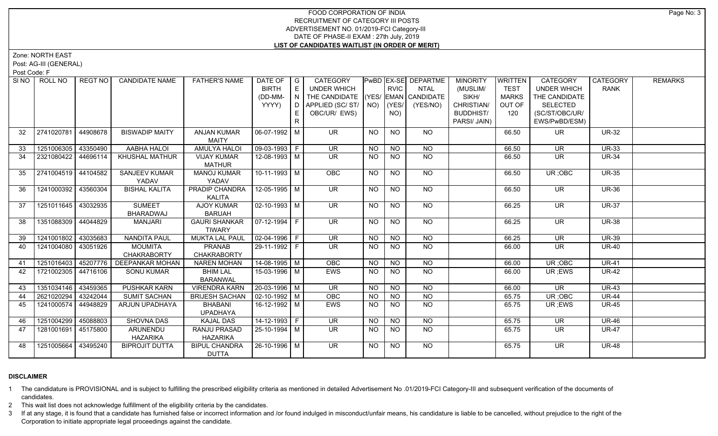Zone: NORTH EAST

Post: AG-III (GENERAL)

Post Code: F

|    | SINO   ROLL NO      | REGT NO I | <b>CANDIDATE NAME</b>      | <b>FATHER'S NAME</b>  | DATE OF            | $\overline{\phantom{a}}$ G | CATEGORY                           |           |                 | PwBD EX-SE DEPARTME | <b>MINORITY</b>  | <b>WRITTEN</b> | <b>CATEGORY</b>    | CATEGORY     | <b>REMARKS</b> |
|----|---------------------|-----------|----------------------------|-----------------------|--------------------|----------------------------|------------------------------------|-----------|-----------------|---------------------|------------------|----------------|--------------------|--------------|----------------|
|    |                     |           |                            |                       | <b>BIRTH</b>       | $\mathsf E$                | <b>UNDER WHICH</b>                 |           | <b>RVIC</b>     | <b>NTAL</b>         | (MUSLIM/         | <b>TEST</b>    | <b>UNDER WHICH</b> | <b>RANK</b>  |                |
|    |                     |           |                            |                       | (DD-MM-            | N                          | THE CANDIDATE (YES/ EMAN CANDIDATE |           |                 |                     | SIKH/            | <b>MARKS</b>   | THE CANDIDATE      |              |                |
|    |                     |           |                            |                       | YYYY)              | D I                        | APPLIED (SC/ST/                    |           | $NO)$ (YES/     | (YES/NO)            | CHRISTIAN/       | OUT OF         | <b>SELECTED</b>    |              |                |
|    |                     |           |                            |                       |                    | E                          | OBC/UR/ EWS)                       |           | NO)             |                     | <b>BUDDHIST/</b> | 120            | (SC/ST/OBC/UR/     |              |                |
|    |                     |           |                            |                       |                    |                            |                                    |           |                 |                     | PARSI/ JAIN)     |                | EWS/PwBD/ESM)      |              |                |
| 32 | 2741020781          | 44908678  | <b>BISWADIP MAITY</b>      | <b>ANJAN KUMAR</b>    | 06-07-1992 M       |                            | UR.                                | <b>NO</b> | <b>NO</b>       | <b>NO</b>           |                  | 66.50          | UR.                | <b>UR-32</b> |                |
|    |                     |           |                            | <b>MAITY</b>          |                    |                            |                                    |           |                 |                     |                  |                |                    |              |                |
| 33 | 1251006305 43350490 |           | AABHA HALOI                | <b>AMULYA HALOI</b>   | 09-03-1993 F       |                            | <b>UR</b>                          | <b>NO</b> | N <sub>O</sub>  | <b>NO</b>           |                  | 66.50          | <b>UR</b>          | <b>UR-33</b> |                |
| 34 | 2321080422          | 44696114  | <b>KHUSHAL MATHUR</b>      | <b>VIJAY KUMAR</b>    | 12-08-1993 M       |                            | UR.                                | <b>NO</b> | <b>NO</b>       | <b>NO</b>           |                  | 66.50          | UR.                | <b>UR-34</b> |                |
|    |                     |           |                            | <b>MATHUR</b>         |                    |                            |                                    |           |                 |                     |                  |                |                    |              |                |
| 35 | 2741004519 44104582 |           | <b>SANJEEV KUMAR</b>       | <b>MANOJ KUMAR</b>    | $10-11-1993$ M     |                            | <b>OBC</b>                         | <b>NO</b> | <b>NO</b>       | NO                  |                  | 66.50          | UR; OBC            | <b>UR-35</b> |                |
|    |                     |           | YADAV                      | YADAV                 |                    |                            |                                    |           |                 |                     |                  |                |                    |              |                |
| 36 | 1241000392 43560304 |           | <b>BISHAL KALITA</b>       | <b>PRADIP CHANDRA</b> | $12 - 05 - 1995$ M |                            | $\overline{\mathsf{UR}}$           | NO        | $\overline{NO}$ | $N$ <sup>O</sup>    |                  | 66.50          | UR.                | <b>UR-36</b> |                |
|    |                     |           |                            | KALITA                |                    |                            |                                    |           |                 |                     |                  |                |                    |              |                |
| 37 | 1251011645 43032935 |           | <b>SUMEET</b>              | <b>AJOY KUMAR</b>     | $02 - 10 - 1993$ M |                            | $\overline{\mathsf{UR}}$           | <b>NO</b> | N <sub>O</sub>  | $N$ O               |                  | 66.25          | <b>UR</b>          | <b>UR-37</b> |                |
|    |                     |           | <b>BHARADWAJ</b>           | <b>BARUAH</b>         |                    |                            |                                    |           |                 |                     |                  |                |                    |              |                |
| 38 | 1351088309          | 44044829  | <b>MANJARI</b>             | <b>GAURI SHANKAR</b>  | 07-12-1994   F     |                            | UR.                                | NO.       | NO.             | <b>NO</b>           |                  | 66.25          | <b>UR</b>          | <b>UR-38</b> |                |
|    |                     |           |                            | <b>TIWARY</b>         |                    |                            |                                    |           |                 |                     |                  |                |                    |              |                |
| 39 | 1241001802 43035683 |           | <b>NANDITA PAUL</b>        | <b>MUKTA LAL PAUL</b> | $02-04-1996$ F     |                            | <b>UR</b>                          | <b>NO</b> | <b>NO</b>       | <b>NO</b>           |                  | 66.25          | <b>UR</b>          | <b>UR-39</b> |                |
| 40 | 1241004080          | 43051926  | <b>MOUMITA</b>             | <b>PRANAB</b>         | 29-11-1992 F       |                            | UR.                                | <b>NO</b> | <b>NO</b>       | <b>NO</b>           |                  | 66.00          | UR.                | <b>UR-40</b> |                |
|    |                     |           | <b>CHAKRABORTY</b>         | <b>CHAKRABORTY</b>    |                    |                            |                                    |           |                 |                     |                  |                |                    |              |                |
| 41 | 1251016403          |           | 45207776   DEEPANKAR MOHAN | <b>NAREN MOHAN</b>    | $14 - 08 - 1995$ M |                            | OBC                                | <b>NO</b> | <b>NO</b>       | <b>NO</b>           |                  | 66.00          | UR; OBC            | <b>UR-41</b> |                |
| 42 | 1721002305 44716106 |           | <b>SONU KUMAR</b>          | <b>BHIM LAL</b>       | 15-03-1996 M       |                            | EWS                                | <b>NO</b> | <b>NO</b>       | $\overline{NQ}$     |                  | 66.00          | UR; EWS            | <b>UR-42</b> |                |
|    |                     |           |                            | <b>BARANWAL</b>       |                    |                            |                                    |           |                 |                     |                  |                |                    |              |                |
| 43 | 1351034146          | 43459365  | PUSHKAR KARN               | <b>VIRENDRA KARN</b>  | 20-03-1996 M       |                            | <b>UR</b>                          | NO.       | <b>NO</b>       | <b>NO</b>           |                  | 66.00          | UR.                | <b>UR-43</b> |                |
| 44 | 2621020294          | 43242044  | <b>SUMIT SACHAN</b>        | <b>BRIJESH SACHAN</b> | $02 - 10 - 1992$ M |                            | OBC                                | <b>NO</b> | <b>NO</b>       | N <sub>O</sub>      |                  | 65.75          | UR; OBC            | <b>UR-44</b> |                |
| 45 | 1241000574          | 44948829  | ARJUN UPADHAYA             | <b>BHABANI</b>        | 16-12-1992 M       |                            | <b>EWS</b>                         | <b>NO</b> | N <sub>O</sub>  | N <sub>O</sub>      |                  | 65.75          | UR ;EWS            | <b>UR-45</b> |                |
|    |                     |           |                            | <b>UPADHAYA</b>       |                    |                            |                                    |           |                 |                     |                  |                |                    |              |                |
| 46 | 1251004299          | 45088803  | <b>SHOVNA DAS</b>          | <b>KAJAL DAS</b>      | 14-12-1993 F       |                            | $\overline{\mathsf{UR}}$           | NO.       | <b>NO</b>       | $N$ O               |                  | 65.75          | <b>UR</b>          | <b>UR-46</b> |                |
| 47 | 1281001691          | 45175800  | ARUNENDU                   | <b>RANJU PRASAD</b>   | $25 - 10 - 1994$ M |                            | UR.                                | NO.       | N <sub>O</sub>  | NO                  |                  | 65.75          | UR.                | <b>UR-47</b> |                |
|    |                     |           | <b>HAZARIKA</b>            | <b>HAZARIKA</b>       |                    |                            |                                    |           |                 |                     |                  |                |                    |              |                |
| 48 | 1251005664          | 43495240  | <b>BIPROJIT DUTTA</b>      | <b>BIPUL CHANDRA</b>  | 26-10-1996 M       |                            | $\overline{\mathsf{UR}}$           | NO        | <b>NO</b>       | NO                  |                  | 65.75          | <b>UR</b>          | <b>UR-48</b> |                |
|    |                     |           |                            | <b>DUTTA</b>          |                    |                            |                                    |           |                 |                     |                  |                |                    |              |                |

## **DISCLAIMER**

1 The candidature is PROVISIONAL and is subject to fulfilling the prescribed eligibility criteria as mentioned in detailed Advertisement No .01/2019-FCI Category-III and subsequent verification of the documents of candidates.

2 This wait list does not acknowledge fulfillment of the eligibility criteria by the candidates.

3 If at any stage, it is found that a candidate has furnished false or incorrect information and /or found indulged in misconduct/unfair means, his candidature is liable to be cancelled, without prejudice to the right of t Corporation to initiate appropriate legal proceedings against the candidate.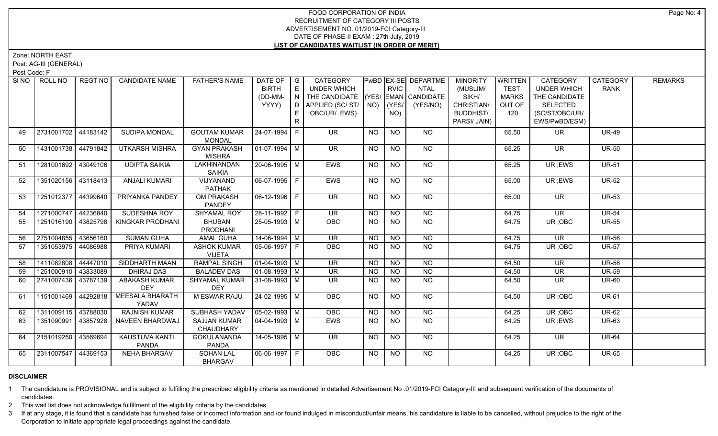Zone: NORTH EAST

Post: AG-III (GENERAL)

Post Code: F

| SI NO | ROLL NO             | REGT NO  | <b>CANDIDATE NAME</b>           | <b>FATHER'S NAME</b>                 | DATE OF G<br><b>BIRTH</b><br>(DD-MM-<br>YYYY) | E<br>$\overline{N}$<br>D. | CATEGORY<br><b>UNDER WHICH</b><br>THE CANDIDATE (YES/ EMAN CANDIDATE<br>APPLIED (SC/ ST/   NO) |           | <b>RVIC</b><br>$ $ (YES/ | PwBD EX-SE DEPARTME<br><b>NTAL</b><br>(YES/NO) | <b>MINORITY</b><br>(MUSLIM/<br>SIKH/<br>CHRISTIAN/ | <b>WRITTEN</b><br><b>TEST</b><br><b>MARKS</b><br>OUT OF | CATEGORY<br>UNDER WHICH<br>THE CANDIDATE<br><b>SELECTED</b> | CATEGORY<br><b>RANK</b> | <b>REMARKS</b> |
|-------|---------------------|----------|---------------------------------|--------------------------------------|-----------------------------------------------|---------------------------|------------------------------------------------------------------------------------------------|-----------|--------------------------|------------------------------------------------|----------------------------------------------------|---------------------------------------------------------|-------------------------------------------------------------|-------------------------|----------------|
|       |                     |          |                                 |                                      |                                               | E<br>R                    | OBC/UR/ EWS)                                                                                   |           | NO)                      |                                                | <b>BUDDHIST/</b><br>PARSI/ JAIN)                   | 120                                                     | (SC/ST/OBC/UR/<br>EWS/PwBD/ESM)                             |                         |                |
| 49    | 2731001702 44183142 |          | SUDIPA MONDAL                   | <b>GOUTAM KUMAR</b><br><b>MONDAL</b> | 24-07-1994 F                                  |                           | <b>UR</b>                                                                                      | <b>NO</b> | <b>NO</b>                | <b>NO</b>                                      |                                                    | 65.50                                                   | <b>UR</b>                                                   | <b>UR-49</b>            |                |
| 50    | 1431001738 44791842 |          | <b>UTKARSH MISHRA</b>           | <b>GYAN PRAKASH</b><br><b>MISHRA</b> | 01-07-1994 M                                  |                           | <b>UR</b>                                                                                      | <b>NO</b> | <b>NO</b>                | NO                                             |                                                    | 65.25                                                   | <b>UR</b>                                                   | <b>UR-50</b>            |                |
| 51    | 1281001692 43049106 |          | <b>UDIPTA SAIKIA</b>            | LAKHINANDAN<br><b>SAIKIA</b>         | 20-06-1995   M                                |                           | <b>EWS</b>                                                                                     | <b>NO</b> | <b>NO</b>                | NO                                             |                                                    | 65.25                                                   | UR; EWS                                                     | <b>UR-51</b>            |                |
| 52    | 1351020156 43118413 |          | <b>ANJALI KUMARI</b>            | VIJYANAND<br><b>PATHAK</b>           | $06-07-1995$ F                                |                           | <b>EWS</b>                                                                                     | <b>NO</b> | $\overline{NO}$          | NO                                             |                                                    | 65.00                                                   | UR; EWS                                                     | <b>UR-52</b>            |                |
| 53    | 1251012377 44399640 |          | PRIYANKA PANDEY                 | OM PRAKASH<br>PANDEY                 | 06-12-1996 F                                  |                           | $\overline{\mathsf{UR}}$                                                                       | <b>NO</b> | <b>NO</b>                | NO                                             |                                                    | 65.00                                                   | <b>UR</b>                                                   | <b>UR-53</b>            |                |
| 54    | 1271000747 44236840 |          | SUDESHNA ROY                    | SHYAMAL ROY                          | 28-11-1992 F                                  |                           | <b>UR</b>                                                                                      | <b>NO</b> | NO                       | NO                                             |                                                    | 64.75                                                   | <b>UR</b>                                                   | <b>UR-54</b>            |                |
| 55    | 1251016190 43825798 |          | KINGKAR PRODHANI                | <b>BHUBAN</b><br><b>PRODHANI</b>     | 25-05-1993 M                                  |                           | <b>OBC</b>                                                                                     | <b>NO</b> | $N$ O                    | $N$ <sup>O</sup>                               |                                                    | 64.75                                                   | UR; OBC                                                     | <b>UR-55</b>            |                |
| 56    | 2751004855 43656160 |          | <b>SUMAN GUHA</b>               | <b>AMAL GUHA</b>                     | $14-06-1994$ M                                |                           | $\overline{\mathsf{UR}}$                                                                       | <b>NO</b> | <b>NO</b>                | <b>NO</b>                                      |                                                    | 64.75                                                   | <b>UR</b>                                                   | <b>UR-56</b>            |                |
| 57    | 1351053975 44086988 |          | PRIYA KUMARI                    | <b>ASHOK KUMAR</b><br><b>VIJETA</b>  | 05-06-1997 F                                  |                           | OBC                                                                                            | <b>NO</b> | <b>NO</b>                | <b>NO</b>                                      |                                                    | 64.75                                                   | UR; OBC                                                     | <b>UR-57</b>            |                |
| 58    | 1411082808          | 44447010 | <b>SIDDHARTH MAAN</b>           | <b>RAMPAL SINGH</b>                  | 01-04-1993 M                                  |                           | $\overline{\mathsf{UR}}$                                                                       | <b>NO</b> | $\overline{NO}$          | $\overline{NO}$                                |                                                    | 64.50                                                   | $\overline{\mathsf{UR}}$                                    | <b>UR-58</b>            |                |
| 59    | 1251000910          | 43833089 | <b>DHIRAJ DAS</b>               | <b>BALADEV DAS</b>                   | $\vert$ 01-08-1993 $\vert$ M                  |                           | <b>UR</b>                                                                                      | <b>NO</b> | <b>NO</b>                | $\overline{NO}$                                |                                                    | 64.50                                                   | <b>UR</b>                                                   | <b>UR-59</b>            |                |
| 60    | 2741007436 43787139 |          | ABAKASH KUMAR<br><b>DEY</b>     | <b>SHYAMAL KUMAR</b><br><b>DEY</b>   | $ 31-08-1993 M$                               |                           | UR.                                                                                            | <b>NO</b> | NO                       | $\overline{NO}$                                |                                                    | 64.50                                                   | <b>UR</b>                                                   | <b>UR-60</b>            |                |
| 61    | 1151001469 44292818 |          | <b>MEESALA BHARATH</b><br>YADAV | M ESWAR RAJU                         | $24 - 02 - 1995$ M                            |                           | OBC                                                                                            | <b>NO</b> | $\overline{NO}$          | $N$ <sup>O</sup>                               |                                                    | 64.50                                                   | UR; OBC                                                     | $UR-61$                 |                |
| 62    | 1311009115          | 43788030 | <b>RAJNISH KUMAR</b>            | SUBHASH YADAV                        | $\sqrt{05-02-1993}$ M                         |                           | OBC                                                                                            | <b>NO</b> | <b>NO</b>                | <b>NO</b>                                      |                                                    | 64.25                                                   | UR; OBC                                                     | <b>UR-62</b>            |                |
| 63    | 1351090991          | 43857928 | <b>NAVEEN BHARDWAJ</b>          | <b>SAJJAN KUMAR</b><br>CHAUDHARY     | 04-04-1993   M                                |                           | <b>EWS</b>                                                                                     | <b>NO</b> | NO                       | NO.                                            |                                                    | 64.25                                                   | UR; EWS                                                     | <b>UR-63</b>            |                |
| 64    | 2151019250          | 43569694 | <b>KAUSTUVA KANTI</b><br>PANDA  | <b>GOKULANANDA</b><br>PANDA          | $14 - 05 - 1995$ M                            |                           | UR.                                                                                            | NO.       | NO.                      | NO.                                            |                                                    | 64.25                                                   | UR.                                                         | <b>UR-64</b>            |                |
| 65    | 2311007547 44369153 |          | <b>NEHA BHARGAV</b>             | <b>SOHAN LAL</b><br><b>BHARGAV</b>   | 06-06-1997 F                                  |                           | <b>OBC</b>                                                                                     | <b>NO</b> | NO                       | NO                                             |                                                    | 64.25                                                   | UR; OBC                                                     | <b>UR-65</b>            |                |

#### **DISCLAIMER**

1 The candidature is PROVISIONAL and is subject to fulfilling the prescribed eligibility criteria as mentioned in detailed Advertisement No .01/2019-FCI Category-III and subsequent verification of the documents of candidates.

2 This wait list does not acknowledge fulfillment of the eligibility criteria by the candidates.

3 If at any stage, it is found that a candidate has furnished false or incorrect information and /or found indulged in misconduct/unfair means, his candidature is liable to be cancelled, without prejudice to the right of t Corporation to initiate appropriate legal proceedings against the candidate.